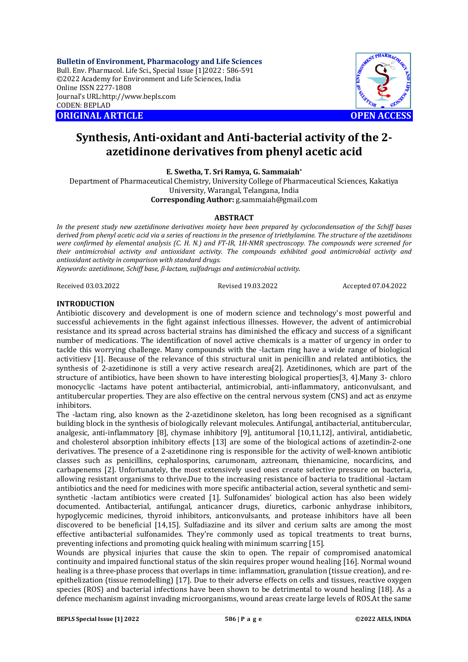**Bulletin of Environment, Pharmacology and Life Sciences** Bull. Env. Pharmacol. Life Sci., Special Issue [1]2022 : 586-591 ©2022 Academy for Environment and Life Sciences, India Online ISSN 2277-1808 Journal's URL:<http://www.bepls.com> CODEN: BEPLAD **ORIGINAL ARTICLE OPEN ACCESS** 



# **Synthesis, Anti-oxidant and Anti-bacterial activity of the 2 azetidinone derivatives from phenyl acetic acid**

**E. Swetha, T. Sri Ramya, G. Sammaiah\***

Department of Pharmaceutical Chemistry, University College of Pharmaceutical Sciences, Kakatiya University, Warangal, Telangana, India

**Corresponding Author:** [g.sammaiah@gmail.com](mailto:g.sammaiah@gmail.com)

#### **ABSTRACT**

*In the present study new azetidinone derivatives moiety have been prepared by cyclocondensation of the Schiff bases derived from phenyl acetic acid via a series of reactions in the presence of triethylamine. The structure of the azetidinons were confirmed by elemental analysis (C. H. N.) and FT-IR, 1H-NMR spectroscopy. The compounds were screened for their antimicrobial activity and antioxidant activity. The compounds exhibited good antimicrobial activity and antioxidant activity in comparison with standard drugs.* 

*Keywords: azetidinone, Schiff base, β-lactam, sulfadrugs and antimicrobial activity.*

Received 03.03.2022 Revised 19.03.2022 Accepted 07.04.2022

## **INTRODUCTION**

Antibiotic discovery and development is one of modern science and technology's most powerful and successful achievements in the fight against infectious illnesses. However, the advent of antimicrobial resistance and its spread across bacterial strains has diminished the efficacy and success of a significant number of medications. The identification of novel active chemicals is a matter of urgency in order to tackle this worrying challenge. Many compounds with the -lactam ring have a wide range of biological activitiesv [1]. Because of the relevance of this structural unit in penicillin and related antibiotics, the synthesis of 2-azetidinone is still a very active research area[2]. Azetidinones, which are part of the structure of antibiotics, have been shown to have interesting biological properties[3, 4].Many 3- chloro monocyclic -lactams have potent antibacterial, antimicrobial, anti-inflammatory, anticonvulsant, and antitubercular properties. They are also effective on the central nervous system (CNS) and act as enzyme inhibitors.

The -lactam ring, also known as the 2-azetidinone skeleton, has long been recognised as a significant building block in the synthesis of biologically relevant molecules. Antifungal, antibacterial, antitubercular, analgesic, anti-inflammatory [8], chymase inhibitory [9], antitumoral [10,11,12], antiviral, antidiabetic, and cholesterol absorption inhibitory effects [13] are some of the biological actions of azetindin-2-one derivatives. The presence of a 2-azetidinone ring is responsible for the activity of well-known antibiotic classes such as penicillins, cephalosporins, carumonam, aztreonam, thienamicine, nocardicins, and carbapenems [2]. Unfortunately, the most extensively used ones create selective pressure on bacteria, allowing resistant organisms to thrive.Due to the increasing resistance of bacteria to traditional -lactam antibiotics and the need for medicines with more specific antibacterial action, several synthetic and semisynthetic -lactam antibiotics were created [1]. Sulfonamides' biological action has also been widely documented. Antibacterial, antifungal, anticancer drugs, diuretics, carbonic anhydrase inhibitors, hypoglycemic medicines, thyroid inhibitors, anticonvulsants, and protease inhibitors have all been discovered to be beneficial [14,15]. Sulfadiazine and its silver and cerium salts are among the most effective antibacterial sulfonamides. They're commonly used as topical treatments to treat burns, preventing infections and promoting quick healing with minimum scarring [15].

Wounds are physical injuries that cause the skin to open. The repair of compromised anatomical continuity and impaired functional status of the skin requires proper wound healing [16]. Normal wound healing is a three-phase process that overlaps in time: inflammation, granulation (tissue creation), and reepithelization (tissue remodelling) [17]. Due to their adverse effects on cells and tissues, reactive oxygen species (ROS) and bacterial infections have been shown to be detrimental to wound healing [18]. As a defence mechanism against invading microorganisms, wound areas create large levels of ROS.At the same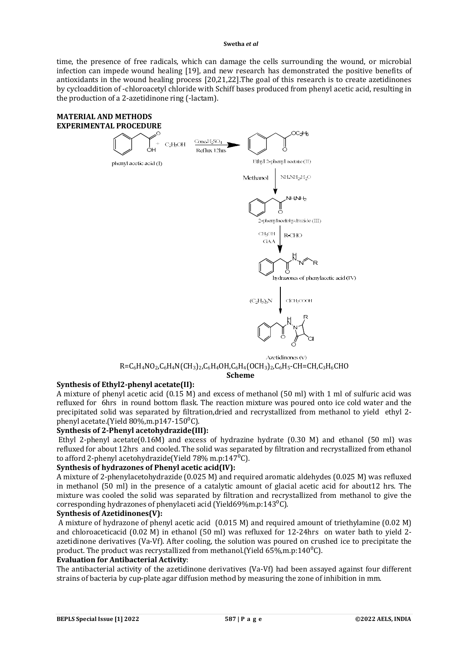time, the presence of free radicals, which can damage the cells surrounding the wound, or microbial infection can impede wound healing [19], and new research has demonstrated the positive benefits of antioxidants in the wound healing process [20,21,22].The goal of this research is to create azetidinones by cycloaddition of -chloroacetyl chloride with Schiff bases produced from phenyl acetic acid, resulting in the production of a 2-azetidinone ring (-lactam).



# $R=C_6H_4NO_2$ , $C_6H_4N(CH_3)_2$ , $C_6H_4OH$ , $C_6H_4(OCH_3)_2$ , $C_6H_5$ -CH=CH, $C_3H_6CHO$ **Scheme**

# **Synthesis of Ethyl2-phenyl acetate(II):**

A mixture of phenyl acetic acid (0.15 M) and excess of methanol (50 ml) with 1 ml of sulfuric acid was refluxed for 6hrs in round bottom flask. The reaction mixture was poured onto ice cold water and the precipitated solid was separated by filtration,dried and recrystallized from methanol to yield ethyl 2 phenyl acetate.(Yield  $80\%$ .m.p147-150 $^0$ C).

#### **Synthesis of 2-Phenyl acetohydrazide(III):**

Ethyl 2-phenyl acetate( $0.16M$ ) and excess of hydrazine hydrate ( $0.30$  M) and ethanol ( $50$  ml) was refluxed for about 12hrs and cooled. The solid was separated by filtration and recrystallized from ethanol to afford 2-phenyl acetohydrazide(Yield  $78\%$  m.p:147<sup>0</sup>C).

#### **Synthesis of hydrazones of Phenyl acetic acid(IV):**

A mixture of 2-phenylacetohydrazide (0.025 M) and required aromatic aldehydes (0.025 M) was refluxed in methanol (50 ml) in the presence of a catalytic amount of glacial acetic acid for about12 hrs. The mixture was cooled the solid was separated by filtration and recrystallized from methanol to give the corresponding hydrazones of phenylaceti acid (Yield69%m.p:143 $^{\circ}$ C).

#### **Synthesis of Azetidinones(V):**

A mixture of hydrazone of phenyl acetic acid (0.015 M) and required amount of triethylamine (0.02 M) and chloroaceticacid (0.02 M) in ethanol (50 ml) was refluxed for 12-24hrs on water bath to yield 2 azetidinone derivatives (Va-Vf). After cooling, the solution was poured on crushed ice to precipitate the product. The product was recrystallized from methanol. (Yield  $65\%, m.p:140\textdegree C$ ).

#### **Evaluation for Antibacterial Activity**:

The antibacterial activity of the azetidinone derivatives (Va-Vf) had been assayed against four different strains of bacteria by cup-plate agar diffusion method by measuring the zone of inhibition in mm.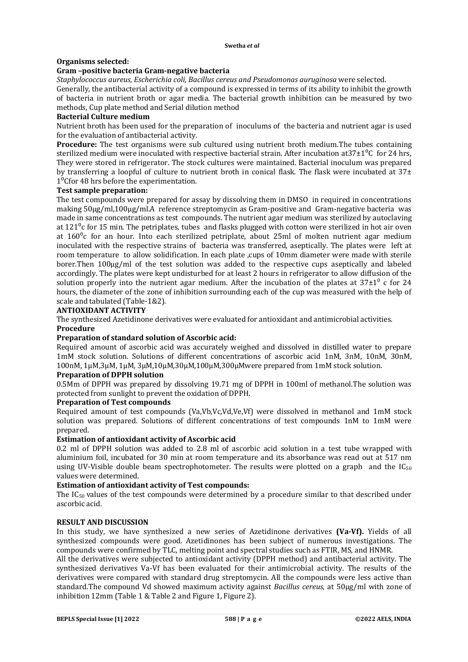# **Organisms selected:**

## **Gram –positive bacteria Gram-negative bacteria**

*Staphylococcus aureus, Escherichia coli, Bacillus cereus and Pseudomonas auruginosa* were selected.

Generally, the antibacterial activity of a compound is expressed in terms of its ability to inhibit the growth of bacteria in nutrient broth or agar media. The bacterial growth inhibition can be measured by two methods, Cup plate method and Serial dilution method

## **Bacterial Culture medium**

Nutrient broth has been used for the preparation of inoculums of the bacteria and nutrient agar is used for the evaluation of antibacterial activity.

**Procedure:** The test organisms were sub cultured using nutrient broth medium.The tubes containing sterilized medium were inoculated with respective bacterial strain. After incubation at  $37\pm1\degree$ C for 24 hrs, They were stored in refrigerator. The stock cultures were maintained. Bacterial inoculum was prepared by transferring a loopful of culture to nutrient broth in conical flask. The flask were incubated at  $37\pm$  $1<sup>0</sup>$ Cfor 48 hrs before the experimentation.

## **Test sample preparation:**

The test compounds were prepared for assay by dissolving them in DMSO in required in concentrations making 50µg/ml,100µg/ml.A reference streptomycin as Gram-positive and Gram-negative bacteria was made in same concentrations as test compounds. The nutrient agar medium was sterilized by autoclaving at  $121^\circ$ c for 15 min. The petriplates, tubes and flasks plugged with cotton were sterilized in hot air oven at  $160^{\circ}$ c for an hour. Into each sterilized petriplate, about 25ml of molten nutrient agar medium inoculated with the respective strains of bacteria was transferred, aseptically. The plates were left at room temperature to allow solidification. In each plate ,cups of 10mm diameter were made with sterile borer.Then 100µg/ml of the test solution was added to the respective cups aseptically and labeled accordingly. The plates were kept undisturbed for at least 2 hours in refrigerator to allow diffusion of the solution properly into the nutrient agar medium. After the incubation of the plates at  $37\pm1^0$  c for 24 hours, the diameter of the zone of inhibition surrounding each of the cup was measured with the help of scale and tabulated (Table-1&2).

## **ANTIOXIDANT ACTIVITY**

The synthesized Azetidinone derivatives were evaluated for antioxidant and antimicrobial activities. **Procedure**

#### **Preparation of standard solution of Ascorbic acid:**

Required amount of ascorbic acid was accurately weighed and dissolved in distilled water to prepare 1mM stock solution. Solutions of different concentrations of ascorbic acid 1nM, 3nM, 10nM, 30nM, 100nM, 1µM,3µM, 1µM, 3µM,10µM,30µM,100µM,300µMwere prepared from 1mM stock solution.

# **Preparation of DPPH solution**

0.5Mm of DPPH was prepared by dissolving 19.71 mg of DPPH in 100ml of methanol.The solution was protected from sunlight to prevent the oxidation of DPPH.

#### **Preparation of Test compounds**

Required amount of test compounds (Va,Vb,Vc,Vd,Ve,Vf) were dissolved in methanol and 1mM stock solution was prepared. Solutions of different concentrations of test compounds 1nM to 1mM were prepared.

#### **Estimation of antioxidant activity of Ascorbic acid**

0.2 ml of DPPH solution was added to 2.8 ml of ascorbic acid solution in a test tube wrapped with aluminium foil, incubated for 30 min at room temperature and its absorbance was read out at 517 nm using UV-Visible double beam spectrophotometer. The results were plotted on a graph and the  $IC_{50}$ values were determined.

#### **Estimation of antioxidant activity of Test compounds:**

The  $IC_{50}$  values of the test compounds were determined by a procedure similar to that described under ascorbic acid.

# **RESULT AND DISCUSSION**

In this study, we have synthesized a new series of Azetidinone derivatives **(Va-Vf).** Yields of all synthesized compounds were good. Azetidinones has been subject of numerous investigations. The compounds were confirmed by TLC, melting point and spectral studies such as FTIR, MS, and HNMR.

All the derivatives were subjected to antioxidant activity (DPPH method) and antibacterial activity. The synthesized derivatives Va-Vf has been evaluated for their antimicrobial activity. The results of the derivatives were compared with standard drug streptomycin. All the compounds were less active than standard.The compound Vd showed maximum activity against *Bacillus cereus*, at 50µg/ml with zone of inhibition 12mm (Table 1 & Table 2 and Figure 1, Figure 2).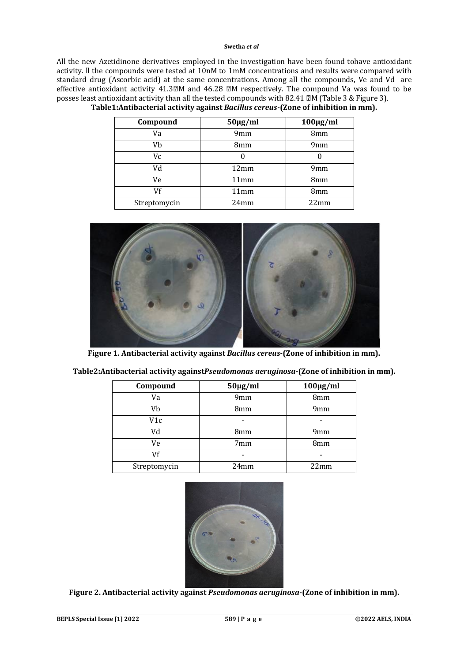All the new Azetidinone derivatives employed in the investigation have been found tohave antioxidant activity. ll the compounds were tested at 10nM to 1mM concentrations and results were compared with standard drug (Ascorbic acid) at the same concentrations. Among all the compounds, Ve and Vd are effective antioxidant activity  $41.3\text{m}$  and  $46.28\text{m}$  respectively. The compound Va was found to be posses least antioxidant activity than all the tested compounds with 82.41 M (Table 3 & Figure 3).

| Compound     | $50\mu g/ml$    | $100 \mu g/ml$  |
|--------------|-----------------|-----------------|
| Va           | 9 <sub>mm</sub> | 8mm             |
| Vb           | 8mm             | 9 <sub>mm</sub> |
| Vc           |                 |                 |
| Vd           | 12mm            | 9 <sub>mm</sub> |
| Ve           | 11mm            | 8 <sub>mm</sub> |
| Vf           | 11mm            | 8mm             |
| Streptomycin | 24mm            | 22mm            |

# **Table1:Antibacterial activity against** *Bacillus cereus***-(Zone of inhibition in mm).**



**Figure 1. Antibacterial activity against** *Bacillus cereus***-(Zone of inhibition in mm).**

| Compound     | $50\mu g/ml$    | $100\mu g/ml$   |
|--------------|-----------------|-----------------|
| Va           | 9mm             | 8mm             |
| Vb           | 8 <sub>mm</sub> | 9 <sub>mm</sub> |
| V1c          |                 |                 |
| Vd           | 8 <sub>mm</sub> | 9 <sub>mm</sub> |
| Ve           | 7mm             | 8 <sub>mm</sub> |
| Vf           |                 |                 |
| Streptomycin | 24mm            | 22mm            |

**Table2:Antibacterial activity against***Pseudomonas aeruginosa***-(Zone of inhibition in mm).**



**Figure 2. Antibacterial activity against** *Pseudomonas aeruginosa***-(Zone of inhibition in mm).**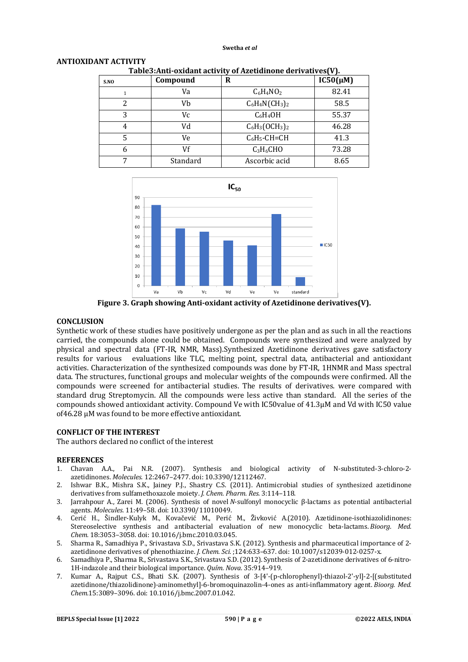| Table3:Anu-oxidant activity of Azetidinone derivatives [V]. |          |                   |               |  |
|-------------------------------------------------------------|----------|-------------------|---------------|--|
| S.NO                                                        | Compound | R                 | $IC50(\mu M)$ |  |
|                                                             | Va       | $C_6H_4NO_2$      | 82.41         |  |
| 2                                                           | Vb       | $C_6H_4N(CH_3)_2$ | 58.5          |  |
| 3                                                           | Vc       | $C_6H_4OH$        | 55.37         |  |
| 4                                                           | Vd       | $C_6H_3(OCH_3)_2$ | 46.28         |  |
| 5                                                           | Ve       | $C_6H_5$ -CH=CH   | 41.3          |  |
| 6                                                           | Vf       | $C_3H_6CHO$       | 73.28         |  |
|                                                             | Standard | Ascorbic acid     | 8.65          |  |

| Table3: Anti-oxidant activity of Azetidinone derivatives (V). |
|---------------------------------------------------------------|
|                                                               |
|                                                               |



**Figure 3. Graph showing Anti-oxidant activity of Azetidinone derivatives(V).**

#### **CONCLUSION**

**ANTIOXIDANT ACTIVITY** 

Synthetic work of these studies have positively undergone as per the plan and as such in all the reactions carried, the compounds alone could be obtained. Compounds were synthesized and were analyzed by physical and spectral data (FT-IR, NMR, Mass).Synthesized Azetidinone derivatives gave satisfactory<br>results for various evaluations like TLC, melting point, spectral data, antibacterial and antioxidant evaluations like TLC, melting point, spectral data, antibacterial and antioxidant activities. Characterization of the synthesized compounds was done by FT-IR, 1HNMR and Mass spectral data. The structures, functional groups and molecular weights of the compounds were confirmed. All the compounds were screened for antibacterial studies. The results of derivatives. were compared with standard drug Streptomycin. All the compounds were less active than standard. All the series of the compounds showed antioxidant activity. Compound Ve with IC50value of 41.3µM and Vd with IC50 value of46.28 µM was found to be more effective antioxidant.

#### **CONFLICT OF THE INTEREST**

The authors declared no conflict of the interest

#### **REFERENCES**

- 1. Chavan A.A., Pai N.R. (2007). Synthesis and biological activity of N-substituted-3-chloro-2 azetidinones. *Molecules.* 12:2467–2477. doi: 10.3390/12112467.
- 2. Ishwar B.K., Mishra S.K., Jainey P.J., Shastry C.S. (2011). Antimicrobial studies of synthesized azetidinone derivatives from sulfamethoxazole moiety. *J. Chem. Pharm. Res.* 3:114–118.
- 3. Jarrahpour A., Zarei M. (2006). Synthesis of novel *N*-sulfonyl monocyclic β-lactams as potential antibacterial agents. *Molecules.* 11:49–58. doi: 10.3390/11010049.
- 4. Cerić H., Šindler-Kulyk M., Kovačević M., Perić M., Živković A.(2010). Azetidinone-isothiazolidinones: Stereoselective synthesis and antibacterial evaluation of new monocyclic beta-lactams. *Bioorg. Med. Chem.* 18:3053–3058. doi: 10.1016/j.bmc.2010.03.045.
- 5. Sharma R., Samadhiya P., Srivastava S.D., Srivastava S.K. (2012). Synthesis and pharmaceutical importance of 2 azetidinone derivatives of phenothiazine. *J. Chem. Sci.* ;124:633–637. doi: 10.1007/s12039-012-0257-x.
- 6. Samadhiya P., Sharma R., Srivastava S.K., Srivastava S.D. (2012). Synthesis of 2-azetidinone derivatives of 6-nitro-1H-indazole and their biological importance. *Quím. Nova.* 35:914–919.
- 7. Kumar A., Rajput C.S., Bhati S.K. (2007). Synthesis of 3-[4'-(p-chlorophenyl)-thiazol-2'-yl]-2-[(substituted azetidinone/thiazolidinone)-aminomethyl]-6-bromoquinazolin-4-ones as anti-inflammatory agent. *Bioorg. Med. Chem.*15:3089–3096. doi: 10.1016/j.bmc.2007.01.042.